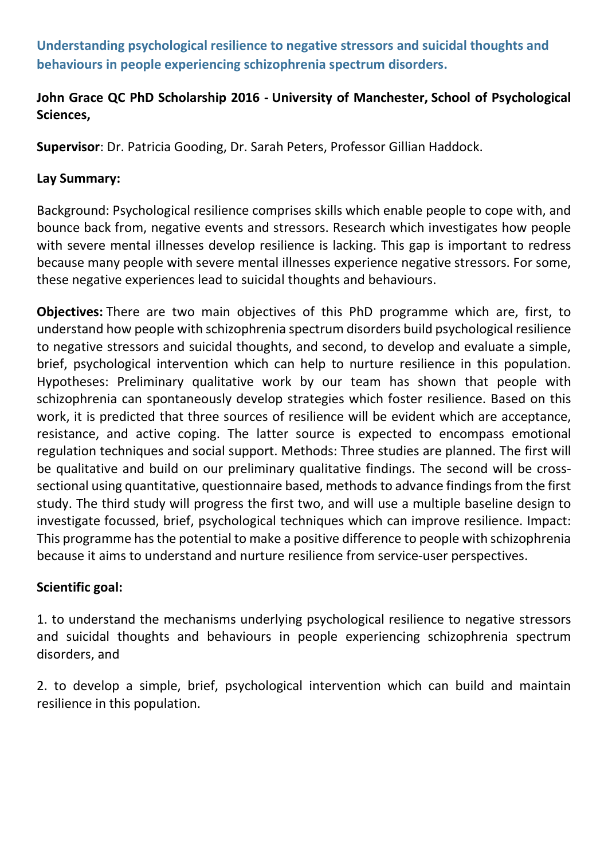Understanding psychological resilience to negative stressors and suicidal thoughts and behaviours in people experiencing schizophrenia spectrum disorders.

# John Grace QC PhD Scholarship 2016 - University of Manchester, School of Psychological Sciences,

Supervisor: Dr. Patricia Gooding, Dr. Sarah Peters, Professor Gillian Haddock.

### Lay Summary:

Background: Psychological resilience comprises skills which enable people to cope with, and bounce back from, negative events and stressors. Research which investigates how people with severe mental illnesses develop resilience is lacking. This gap is important to redress because many people with severe mental illnesses experience negative stressors. For some, these negative experiences lead to suicidal thoughts and behaviours.

Objectives: There are two main objectives of this PhD programme which are, first, to understand how people with schizophrenia spectrum disorders build psychological resilience to negative stressors and suicidal thoughts, and second, to develop and evaluate a simple, brief, psychological intervention which can help to nurture resilience in this population. Hypotheses: Preliminary qualitative work by our team has shown that people with schizophrenia can spontaneously develop strategies which foster resilience. Based on this work, it is predicted that three sources of resilience will be evident which are acceptance, resistance, and active coping. The latter source is expected to encompass emotional regulation techniques and social support. Methods: Three studies are planned. The first will be qualitative and build on our preliminary qualitative findings. The second will be crosssectional using quantitative, questionnaire based, methods to advance findings from the first study. The third study will progress the first two, and will use a multiple baseline design to investigate focussed, brief, psychological techniques which can improve resilience. Impact: This programme has the potential to make a positive difference to people with schizophrenia because it aims to understand and nurture resilience from service-user perspectives.

# Scientific goal:

1. to understand the mechanisms underlying psychological resilience to negative stressors and suicidal thoughts and behaviours in people experiencing schizophrenia spectrum disorders, and

2. to develop a simple, brief, psychological intervention which can build and maintain resilience in this population.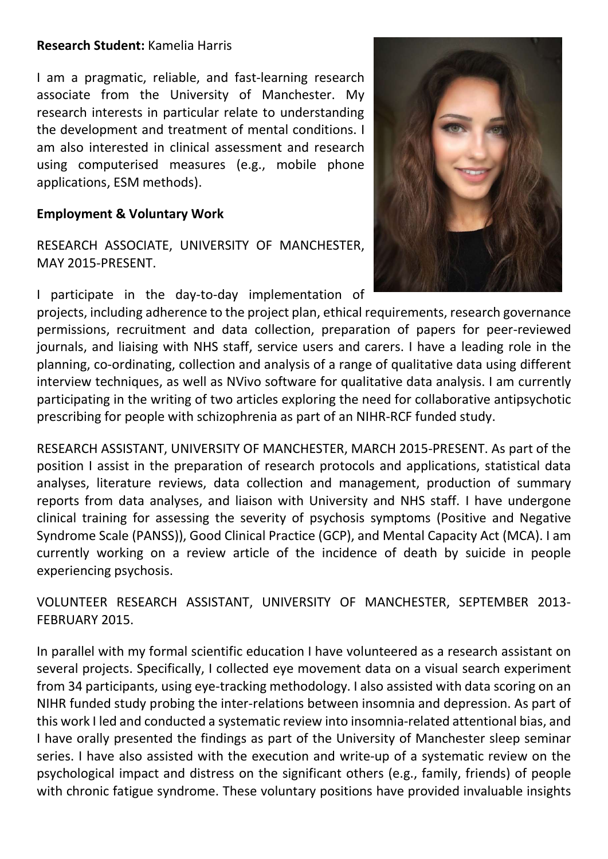#### Research Student: Kamelia Harris

I am a pragmatic, reliable, and fast-learning research associate from the University of Manchester. My research interests in particular relate to understanding the development and treatment of mental conditions. I am also interested in clinical assessment and research using computerised measures (e.g., mobile phone applications, ESM methods).

# Employment & Voluntary Work

RESEARCH ASSOCIATE, UNIVERSITY OF MANCHESTER, MAY 2015-PRESENT.

I participate in the day-to-day implementation of



projects, including adherence to the project plan, ethical requirements, research governance permissions, recruitment and data collection, preparation of papers for peer-reviewed journals, and liaising with NHS staff, service users and carers. I have a leading role in the planning, co-ordinating, collection and analysis of a range of qualitative data using different interview techniques, as well as NVivo software for qualitative data analysis. I am currently participating in the writing of two articles exploring the need for collaborative antipsychotic prescribing for people with schizophrenia as part of an NIHR-RCF funded study.

RESEARCH ASSISTANT, UNIVERSITY OF MANCHESTER, MARCH 2015-PRESENT. As part of the position I assist in the preparation of research protocols and applications, statistical data analyses, literature reviews, data collection and management, production of summary reports from data analyses, and liaison with University and NHS staff. I have undergone clinical training for assessing the severity of psychosis symptoms (Positive and Negative Syndrome Scale (PANSS)), Good Clinical Practice (GCP), and Mental Capacity Act (MCA). I am currently working on a review article of the incidence of death by suicide in people experiencing psychosis.

VOLUNTEER RESEARCH ASSISTANT, UNIVERSITY OF MANCHESTER, SEPTEMBER 2013- FEBRUARY 2015.

In parallel with my formal scientific education I have volunteered as a research assistant on several projects. Specifically, I collected eye movement data on a visual search experiment from 34 participants, using eye-tracking methodology. I also assisted with data scoring on an NIHR funded study probing the inter-relations between insomnia and depression. As part of this work I led and conducted a systematic review into insomnia-related attentional bias, and I have orally presented the findings as part of the University of Manchester sleep seminar series. I have also assisted with the execution and write-up of a systematic review on the psychological impact and distress on the significant others (e.g., family, friends) of people with chronic fatigue syndrome. These voluntary positions have provided invaluable insights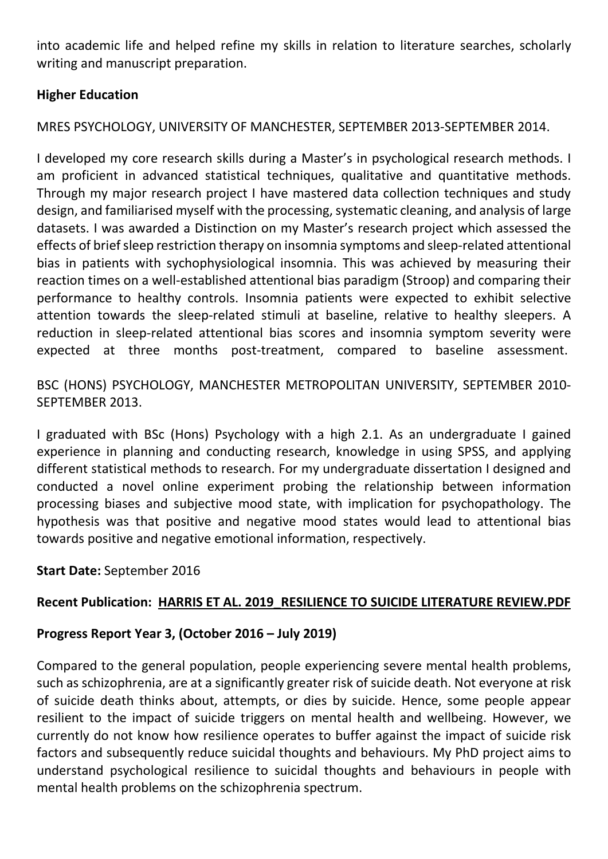into academic life and helped refine my skills in relation to literature searches, scholarly writing and manuscript preparation.

## Higher Education

MRES PSYCHOLOGY, UNIVERSITY OF MANCHESTER, SEPTEMBER 2013-SEPTEMBER 2014.

I developed my core research skills during a Master's in psychological research methods. I am proficient in advanced statistical techniques, qualitative and quantitative methods. Through my major research project I have mastered data collection techniques and study design, and familiarised myself with the processing, systematic cleaning, and analysis of large datasets. I was awarded a Distinction on my Master's research project which assessed the effects of brief sleep restriction therapy on insomnia symptoms and sleep-related attentional bias in patients with sychophysiological insomnia. This was achieved by measuring their reaction times on a well-established attentional bias paradigm (Stroop) and comparing their performance to healthy controls. Insomnia patients were expected to exhibit selective attention towards the sleep-related stimuli at baseline, relative to healthy sleepers. A reduction in sleep-related attentional bias scores and insomnia symptom severity were expected at three months post-treatment, compared to baseline assessment.

BSC (HONS) PSYCHOLOGY, MANCHESTER METROPOLITAN UNIVERSITY, SEPTEMBER 2010- SEPTEMBER 2013.

I graduated with BSc (Hons) Psychology with a high 2.1. As an undergraduate I gained experience in planning and conducting research, knowledge in using SPSS, and applying different statistical methods to research. For my undergraduate dissertation I designed and conducted a novel online experiment probing the relationship between information processing biases and subjective mood state, with implication for psychopathology. The hypothesis was that positive and negative mood states would lead to attentional bias towards positive and negative emotional information, respectively.

# Start Date: September 2016

# Recent Publication: HARRIS ET AL. 2019\_RESILIENCE TO SUICIDE LITERATURE REVIEW.PDF

#### Progress Report Year 3, (October 2016 – July 2019)

Compared to the general population, people experiencing severe mental health problems, such as schizophrenia, are at a significantly greater risk of suicide death. Not everyone at risk of suicide death thinks about, attempts, or dies by suicide. Hence, some people appear resilient to the impact of suicide triggers on mental health and wellbeing. However, we currently do not know how resilience operates to buffer against the impact of suicide risk factors and subsequently reduce suicidal thoughts and behaviours. My PhD project aims to understand psychological resilience to suicidal thoughts and behaviours in people with mental health problems on the schizophrenia spectrum.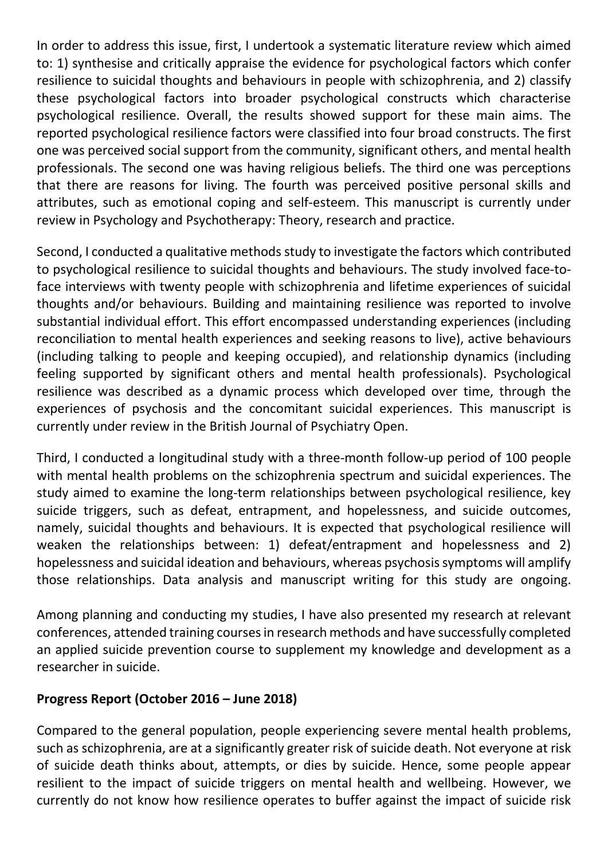In order to address this issue, first, I undertook a systematic literature review which aimed to: 1) synthesise and critically appraise the evidence for psychological factors which confer resilience to suicidal thoughts and behaviours in people with schizophrenia, and 2) classify these psychological factors into broader psychological constructs which characterise psychological resilience. Overall, the results showed support for these main aims. The reported psychological resilience factors were classified into four broad constructs. The first one was perceived social support from the community, significant others, and mental health professionals. The second one was having religious beliefs. The third one was perceptions that there are reasons for living. The fourth was perceived positive personal skills and attributes, such as emotional coping and self-esteem. This manuscript is currently under review in Psychology and Psychotherapy: Theory, research and practice.

Second, I conducted a qualitative methods study to investigate the factors which contributed to psychological resilience to suicidal thoughts and behaviours. The study involved face-toface interviews with twenty people with schizophrenia and lifetime experiences of suicidal thoughts and/or behaviours. Building and maintaining resilience was reported to involve substantial individual effort. This effort encompassed understanding experiences (including reconciliation to mental health experiences and seeking reasons to live), active behaviours (including talking to people and keeping occupied), and relationship dynamics (including feeling supported by significant others and mental health professionals). Psychological resilience was described as a dynamic process which developed over time, through the experiences of psychosis and the concomitant suicidal experiences. This manuscript is currently under review in the British Journal of Psychiatry Open.

Third, I conducted a longitudinal study with a three-month follow-up period of 100 people with mental health problems on the schizophrenia spectrum and suicidal experiences. The study aimed to examine the long-term relationships between psychological resilience, key suicide triggers, such as defeat, entrapment, and hopelessness, and suicide outcomes, namely, suicidal thoughts and behaviours. It is expected that psychological resilience will weaken the relationships between: 1) defeat/entrapment and hopelessness and 2) hopelessness and suicidal ideation and behaviours, whereas psychosis symptoms will amplify those relationships. Data analysis and manuscript writing for this study are ongoing.

Among planning and conducting my studies, I have also presented my research at relevant conferences, attended training courses in research methods and have successfully completed an applied suicide prevention course to supplement my knowledge and development as a researcher in suicide.

# Progress Report (October 2016 – June 2018)

Compared to the general population, people experiencing severe mental health problems, such as schizophrenia, are at a significantly greater risk of suicide death. Not everyone at risk of suicide death thinks about, attempts, or dies by suicide. Hence, some people appear resilient to the impact of suicide triggers on mental health and wellbeing. However, we currently do not know how resilience operates to buffer against the impact of suicide risk